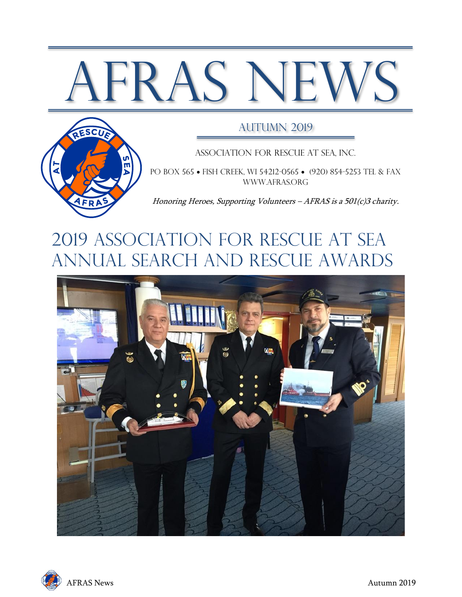# AFRAS NEWS



#### AUTUMN 2019

Association for Rescue at Sea, Inc.

PO BOX 565 • FISH CREEK, WI 54212-0565 • (920) 854-5253 TEL & FAX [www.afras.org](http://www.afras.org/)

Honoring Heroes, Supporting Volunteers – AFRAS is a 501(c)3 charity.

# 2019 ASSOCIATION FOR RESCUE AT SEA ANNUAL Search and rescue awards



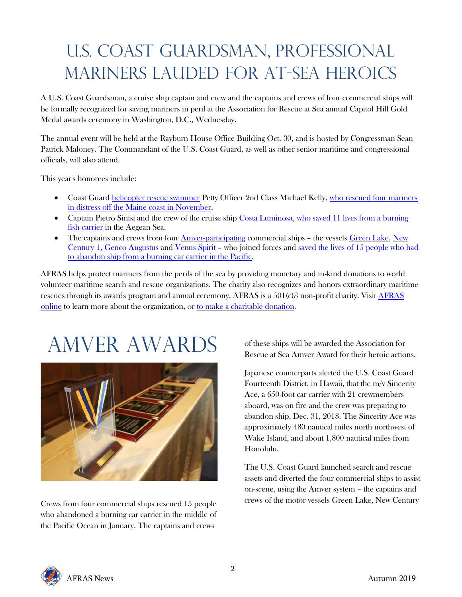# U.S. Coast Guardsman, Professional Mariners Lauded for At-Sea Heroics

A U.S. Coast Guardsman, a cruise ship captain and crew and the captains and crews of four commercial ships will be formally recognized for saving mariners in peril at the Association for Rescue at Sea annual Capitol Hill Gold Medal awards ceremony in Washington, D.C., Wednesday.

The annual event will be held at the Rayburn House Office Building Oct. 30, and is hosted by Congressman Sean Patrick Maloney. The Commandant of the U.S. Coast Guard, as well as other senior maritime and congressional officials, will also attend.

This year's honorees include:

- Coast Guard [helicopter rescue swimmer](https://www.dvidshub.net/video/640450/coast-guard-rescues-4-fishermen-60-miles-off-maine-coast) Petty Officer 2nd Class Michael Kelly[, who rescued four mariners](https://twitter.com/AFRAS_inc/status/1188288366523105280?s=20)  [in distress off the Maine coast in November.](https://twitter.com/AFRAS_inc/status/1188288366523105280?s=20)
- Captain Pietro Sinisi and the crew of the cruise shi[p Costa Luminosa,](https://www.costacruises.com/fleet/luminosa/v1.html) who saved 11 lives from a burning [fish carrier](https://twitter.com/AFRAS_inc/status/1188283517811253248?s=20) in the Aegean Sea.
- The captains and crews from four [Amver-participating](https://amver.com/) commercial ships the vessel[s Green Lake,](http://www.vesseltracking.net/ship/green-lake-9158288) New [Century 1,](http://www.vesseltracking.net/ship/new-century-1-9229398) [Genco Augustus](http://www.vesseltracking.net/ship/genco-augustus-9361249) and [Venus Spirit](http://www.vesseltracking.net/ship/venus-spirit-9505900) – who joined forces and [saved the lives of 15 people who had](https://twitter.com/AFRAS_inc/status/1188280653831458816?s=20)  [to abandon ship from a burning car carrier in the Pacific.](https://twitter.com/AFRAS_inc/status/1188280653831458816?s=20)

AFRAS helps protect mariners from the perils of the sea by providing monetary and in-kind donations to world volunteer maritime search and rescue organizations. The charity also recognizes and honors extraordinary maritime rescues through its awards program and annual ceremony. AFRAS is a 501(c)3 non-profit charity. Visit [AFRAS](https://www.afras.org/)  [online](https://www.afras.org/) to learn more about the organization, o[r to make a charitable donation.](https://www.afras.org/index.php/donation/)

# AMVER AWARDs



Crews from four commercial ships rescued 15 people who abandoned a burning car carrier in the middle of the Pacific Ocean in January. The captains and crews

of these ships will be awarded the Association for Rescue at Sea Amver Award for their heroic actions.

Japanese counterparts alerted the U.S. Coast Guard Fourteenth District, in Hawaii, that the m/v Sincerity Ace, a 650-foot car carrier with 21 crewmembers aboard, was on fire and the crew was preparing to abandon ship, Dec. 31, 2018. The Sincerity Ace was approximately 480 nautical miles north northwest of Wake Island, and about 1,800 nautical miles from Honolulu.

The U.S. Coast Guard launched search and rescue assets and diverted the four commercial ships to assist on-scene, using the Amver system – the captains and crews of the motor vessels Green Lake, New Century

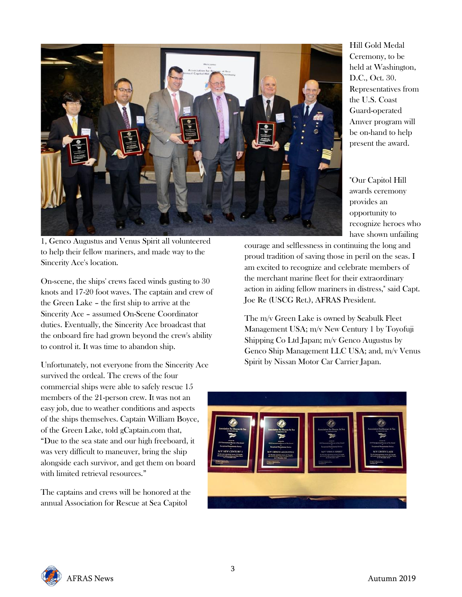

Hill Gold Medal Ceremony, to be held at Washington, D.C., Oct. 30. Representatives from the U.S. Coast Guard-operated Amver program will be on-hand to help present the award.

"Our Capitol Hill awards ceremony provides an opportunity to recognize heroes who have shown unfailing

courage and selflessness in continuing the long and proud tradition of saving those in peril on the seas. I am excited to recognize and celebrate members of the merchant marine fleet for their extraordinary action in aiding fellow mariners in distress," said Capt. Joe Re (USCG Ret.), AFRAS President.

The m/v Green Lake is owned by Seabulk Fleet Management USA; m/v New Century 1 by Toyofuji Shipping Co Ltd Japan; m/v Genco Augustus by Genco Ship Management LLC USA; and, m/v Venus Spirit by Nissan Motor Car Carrier Japan.



1, Genco Augustus and Venus Spirit all volunteered to help their fellow mariners, and made way to the Sincerity Ace's location.

On-scene, the ships' crews faced winds gusting to 30 knots and 17-20 foot waves. The captain and crew of the Green Lake – the first ship to arrive at the Sincerity Ace – assumed On-Scene Coordinator duties. Eventually, the Sincerity Ace broadcast that the onboard fire had grown beyond the crew's ability to control it. It was time to abandon ship.

Unfortunately, not everyone from the Sincerity Ace survived the ordeal. The crews of the four commercial ships were able to safely rescue 15 members of the 21-person crew. It was not an easy job, due to weather conditions and aspects of the ships themselves. Captain William Boyce, of the Green Lake, told gCaptain.com that, "Due to the sea state and our high freeboard, it was very difficult to maneuver, bring the ship alongside each survivor, and get them on board with limited retrieval resources."

The captains and crews will be honored at the annual Association for Rescue at Sea Capitol

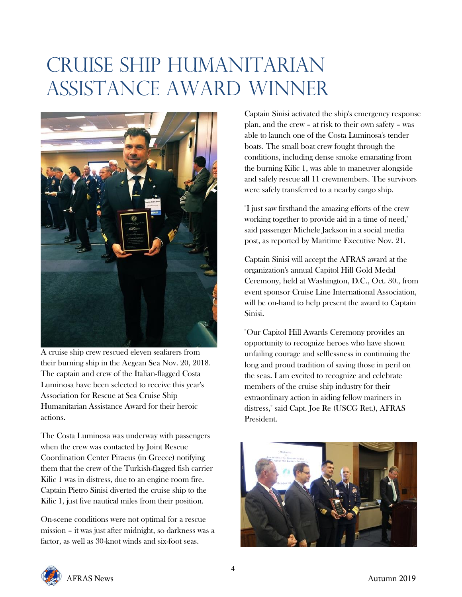# Cruise Ship Humanitarian Assistance Award Winner



A cruise ship crew rescued eleven seafarers from their burning ship in the Aegean Sea Nov. 20, 2018. The captain and crew of the Italian-flagged Costa Luminosa have been selected to receive this year's Association for Rescue at Sea Cruise Ship Humanitarian Assistance Award for their heroic actions.

The Costa Luminosa was underway with passengers when the crew was contacted by Joint Rescue Coordination Center Piraeus (in Greece) notifying them that the crew of the Turkish-flagged fish carrier Kilic 1 was in distress, due to an engine room fire. Captain Pietro Sinisi diverted the cruise ship to the Kilic 1, just five nautical miles from their position.

On-scene conditions were not optimal for a rescue mission – it was just after midnight, so darkness was a factor, as well as 30-knot winds and six-foot seas.

Captain Sinisi activated the ship's emergency response plan, and the crew – at risk to their own safety – was able to launch one of the Costa Luminosa's tender boats. The small boat crew fought through the conditions, including dense smoke emanating from the burning Kilic 1, was able to maneuver alongside and safely rescue all 11 crewmembers. The survivors were safely transferred to a nearby cargo ship.

"I just saw firsthand the amazing efforts of the crew working together to provide aid in a time of need," said passenger Michele Jackson in a social media post, as reported by Maritime Executive Nov. 21.

Captain Sinisi will accept the AFRAS award at the organization's annual Capitol Hill Gold Medal Ceremony, held at Washington, D.C., Oct. 30., from event sponsor Cruise Line International Association, will be on-hand to help present the award to Captain Sinisi.

"Our Capitol Hill Awards Ceremony provides an opportunity to recognize heroes who have shown unfailing courage and selflessness in continuing the long and proud tradition of saving those in peril on the seas. I am excited to recognize and celebrate members of the cruise ship industry for their extraordinary action in aiding fellow mariners in distress," said Capt. Joe Re (USCG Ret.), AFRAS President.



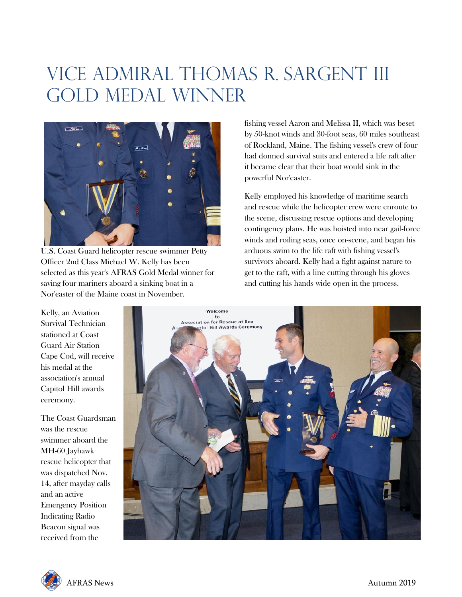## Vice Admiral Thomas R. Sargent III Gold Medal Winner



U.S. Coast Guard helicopter rescue swimmer Petty Officer 2nd Class Michael W. Kelly has been selected as this year's AFRAS Gold Medal winner for saving four mariners aboard a sinking boat in a Nor'easter of the Maine coast in November.

fishing vessel Aaron and Melissa II, which was beset by 50-knot winds and 30-foot seas, 60 miles southeast of Rockland, Maine. The fishing vessel's crew of four had donned survival suits and entered a life raft after it became clear that their boat would sink in the powerful Nor'easter.

Kelly employed his knowledge of maritime search and rescue while the helicopter crew were enroute to the scene, discussing rescue options and developing contingency plans. He was hoisted into near gail-force winds and roiling seas, once on-scene, and began his arduous swim to the life raft with fishing vessel's survivors aboard. Kelly had a fight against nature to get to the raft, with a line cutting through his gloves and cutting his hands wide open in the process.

Kelly, an Aviation Survival Technician stationed at Coast Guard Air Station Cape Cod, will receive his medal at the association's annual Capitol Hill awards ceremony.

The Coast Guardsman was the rescue swimmer aboard the MH-60 Jayhawk rescue helicopter that was dispatched Nov. 14, after mayday calls and an active Emergency Position Indicating Radio Beacon signal was received from the



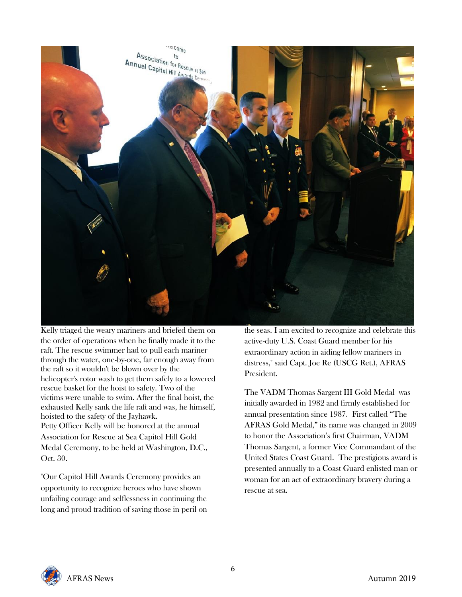

Kelly triaged the weary mariners and briefed them on the order of operations when he finally made it to the raft. The rescue swimmer had to pull each mariner through the water, one-by-one, far enough away from the raft so it wouldn't be blown over by the helicopter's rotor wash to get them safely to a lowered rescue basket for the hoist to safety. Two of the victims were unable to swim. After the final hoist, the exhausted Kelly sank the life raft and was, he himself, hoisted to the safety of the Jayhawk. Petty Officer Kelly will be honored at the annual Association for Rescue at Sea Capitol Hill Gold

Medal Ceremony, to be held at Washington, D.C., Oct. 30.

"Our Capitol Hill Awards Ceremony provides an opportunity to recognize heroes who have shown unfailing courage and selflessness in continuing the long and proud tradition of saving those in peril on the seas. I am excited to recognize and celebrate this active-duty U.S. Coast Guard member for his extraordinary action in aiding fellow mariners in distress," said Capt. Joe Re (USCG Ret.), AFRAS President.

The VADM Thomas Sargent III Gold Medal was initially awarded in 1982 and firmly established for annual presentation since 1987. First called "The AFRAS Gold Medal," its name was changed in 2009 to honor the Association's first Chairman, VADM Thomas Sargent, a former Vice Commandant of the United States Coast Guard. The prestigious award is presented annually to a Coast Guard enlisted man or woman for an act of extraordinary bravery during a rescue at sea.